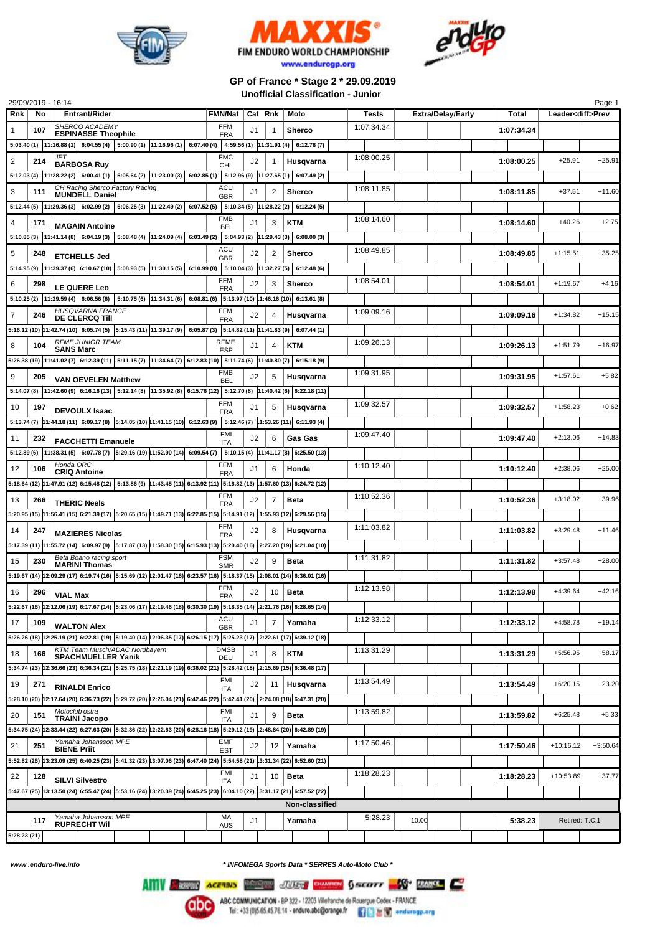





## **GP of France \* Stage 2 \* 29.09.2019 Unofficial Classification - Junior**

| <b>Entrant/Rider</b><br><b>FMN/Nat</b><br>Total<br>Rnk<br>No<br>Cat Rnk<br>Moto<br>Tests<br><b>Extra/Delay/Early</b><br>Leader <diff>Prev<br/>SHERCO ACADEMY<br/><b>FFM</b><br/>1:07:34.34<br/>107<br/>1:07:34.34<br/>1<br/>J1<br/><math>\mathbf{1}</math><br/>Sherco<br/><b>ESPINASSE Theophile</b><br/><b>FRA</b><br/><math>5:03.40</math> (1) <math> 11:16.88</math> (1) <math> 6:04.55</math> (4) <math> 5:00.90</math> (1) <math> 11:16.96</math> (1) <math> 6:07.40</math> (4) <math> 4:59.56</math> (1) <math> 11:31.91</math> (4) <math> 6:12.78</math> (7)<br/>JET<br/><b>FMC</b><br/>1:08:00.25<br/><math>+25.91</math><br/>2<br/>214<br/>J2<br/>1:08:00.25<br/>Husqvarna<br/><b>BARBOSA Ruy</b><br/>CHL<br/>5:12.03 (4) <math> 11:28.22(2) </math> 6:00.41 (1) <math> 5:05.64(2) 11:23.00(3) </math> 6:02.85 (1) <math> 5:12.96(9) 11:27.65(1) </math><br/>6:07.49(2)<br/>CH Racing Sherco Factory Racing<br/>ACU<br/>1:08:11.85<br/>1:08:11.85<br/><math>+37.51</math><br/>3<br/>111<br/>2<br/>Sherco<br/>J1<br/><b>MUNDELL Daniel</b><br/><b>GBR</b><br/><math>5:12.44(5)</math> <math> 11:29.36(3)</math> <math>6:02.99(2)</math> <math>5:06.25(3)</math> <math> 11:22.49(2)</math> <math>6:07.52(5)</math> <math>5:10.34(5)</math> <math> 11:28.22(2)</math><br/>6:12.24(5)<br/><b>FMB</b><br/>1:08:14.60<br/>3<br/><b>KTM</b><br/>1:08:14.60<br/><math>+40.26</math><br/>4<br/>J1<br/>171<br/><b>MAGAIN Antoine</b><br/><b>BEL</b><br/><math>5:10.85(3)</math> <math> 11:41.14(8)</math> <math> 6:04.19(3)</math> <math> 5:08.48(4)</math> <math> 11:24.09(4)</math> <math> 6:03.49(2)</math> <math> 5:04.93(2)</math> <math> 11:29.43(3)</math> <math> 6:08.00(3)</math><br/>ACU<br/>1:08:49.85<br/><math>\overline{2}</math><br/>1:08:49.85<br/><math>+1:15.51</math><br/>5<br/>248<br/>J2<br/><b>Sherco</b><br/><b>ETCHELLS Jed</b><br/><b>GBR</b><br/>5:14.95 (9) 11:39.37 (6) 6:10.67 (10) 5:08.93 (5) 11:30.15 (5) 6:10.99 (8) 5:10.04 (3) 11:32.27 (5)<br/>6:12.48(6)<br/><b>FFM</b><br/>1:08:54.01<br/>J2<br/>1:08:54.01<br/><math>+1:19.67</math><br/>6<br/>3<br/>Sherco<br/>298<br/>LE QUERE Leo<br/><b>FRA</b><br/>5:10.25 (2) <math> 11:29.59(4) </math> 6:06.56 (6) 5:10.75 (6) <math> 11:34.31(6) </math> 6:08.81 (6) 5:13.97 (10) 11:46.16 (10) 6:13.61 (8)<br/><b>HUSQVARNA FRANCE</b><br/><b>FFM</b><br/>1:09:09.16<br/>J2<br/>1:09:09.16<br/><math>+1:34.82</math><br/>7<br/>246<br/>Husqvarna<br/>4<br/><b>DE CLERCQ TIII</b><br/><b>FRA</b><br/>5:16.12 (10) 11:42.74 (10) 6:05.74 (5) 5:15.43 (11) 11:39.17 (9) 6:05.87 (3) 5:14.82 (11) 11:41.83 (9) 6:07.44 (1)<br/><b>RFME JUNIOR TEAM</b><br/><b>RFME</b><br/>1:09:26.13<br/>8<br/>1:09:26.13<br/><math>+1:51.79</math><br/>104<br/>KTM<br/>J1<br/>4<br/><b>SANS Marc</b><br/><b>ESP</b><br/><math>5:26.38(19)</math> <math>11:41.02(7)</math> <math>6:12.39(11)</math> <math>5:11.15(7)</math> <math>11:34.64(7)</math> <math>6:12.83(10)</math> <math>5:11.74(6)</math> <math>11:40.80(7)</math><br/>6:15.18(9)<br/><b>FMB</b><br/>1:09:31.95<br/>9<br/>J2<br/>1:09:31.95<br/><math>+1:57.61</math><br/>205<br/>5<br/>Husqvarna<br/><b>VAN OEVELEN Matthew</b><br/><b>BEL</b><br/>5:14.07 (8) 11:42.60 (9) 6:16.16 (13) 5:12.14 (8) 11:35.92 (8) 6:15.76 (12) 5:12.70 (8) 11:40.42 (6) 6:22.18 (11)<br/><b>FFM</b><br/>1:09:32.57<br/><math>+1:58.23</math><br/>10<br/>5<br/>Husqvarna<br/>1:09:32.57<br/>197<br/>J1<br/><b>DEVOULX Isaac</b><br/><b>FRA</b><br/>5:13.74 (7) 11:44.18 (11) 6:09.17 (8) 5:14.05 (10) 11:41.15 (10) 6:12.63 (9) 5:12.46 (7) 11:53.26 (11) 6:11.93 (4)<br/>FMI<br/>1:09:47.40<br/>1:09:47.40<br/><math>+2:13.06</math><br/>11<br/>J2<br/>6<br/>Gas Gas<br/>232<br/><b>FACCHETTI Emanuele</b><br/><b>ITA</b><br/>5:12.89 (6) <math> 11:38.31</math> (5) <math> 6:07.78</math> (7) <math> 5:29.16</math> (19) <math> 1:52.90</math> (14) <math> 6:09.54</math> (7) <math> 5:10.15</math> (4) <math> 11:41.17</math> (8) <math> 6:25.50</math> (13)<br/>Honda ORC<br/><b>FFM</b><br/>1:10:12.40<br/><math>+2:38.06</math><br/>6<br/>1:10:12.40<br/>12<br/>106<br/>J1<br/>Honda<br/><b>CRIQ Antoine</b><br/><b>FRA</b><br/>5:18.64 (12) 11:47.91 (12) 6:15.48 (12) 5:13.86 (9) 11:43.45 (11) 6:13.92 (11) 5:16.82 (13) 11:57.60 (13) 6:24.72 (12)<br/><b>FFM</b><br/>1:10:52.36<br/>J2<br/><math>\overline{7}</math><br/>1:10:52.36<br/><math>+3:18.02</math><br/>Beta<br/>13<br/>266<br/><b>THERIC Neels</b><br/><b>FRA</b><br/>5:20.95 (15)  11:56.41 (15)   6:21.39 (17)   5:20.65 (15)  11:49.71 (13)   6:22.85 (15)   5:14.91 (12)   11:55.93 (12)   6:29.56 (15)<br/><b>FFM</b><br/>1:11:03.82<br/><math>+3:29.48</math><br/>J2<br/>1:11:03.82<br/>14<br/>247<br/>8<br/>Husgvarna<br/><b>MAZIERES Nicolas</b><br/><b>FRA</b><br/>5:17.39 (11) 11:55.72 (14) 6:09.97 (9) 5:17.87 (13) 11:58.30 (15) 6:15.93 (13) 5:20.40 (16) 12:27.20 (19) 6:21.04 (10)</diff> | $+25.91$<br>$+11.60$<br>$+2.75$<br>$+35.25$<br>$+4.16$<br>$+15.15$<br>$+16.97$<br>$+5.82$<br>$+0.62$<br>$+14.83$ |  |  |  |  |  |  |  |  |  |  |
|------------------------------------------------------------------------------------------------------------------------------------------------------------------------------------------------------------------------------------------------------------------------------------------------------------------------------------------------------------------------------------------------------------------------------------------------------------------------------------------------------------------------------------------------------------------------------------------------------------------------------------------------------------------------------------------------------------------------------------------------------------------------------------------------------------------------------------------------------------------------------------------------------------------------------------------------------------------------------------------------------------------------------------------------------------------------------------------------------------------------------------------------------------------------------------------------------------------------------------------------------------------------------------------------------------------------------------------------------------------------------------------------------------------------------------------------------------------------------------------------------------------------------------------------------------------------------------------------------------------------------------------------------------------------------------------------------------------------------------------------------------------------------------------------------------------------------------------------------------------------------------------------------------------------------------------------------------------------------------------------------------------------------------------------------------------------------------------------------------------------------------------------------------------------------------------------------------------------------------------------------------------------------------------------------------------------------------------------------------------------------------------------------------------------------------------------------------------------------------------------------------------------------------------------------------------------------------------------------------------------------------------------------------------------------------------------------------------------------------------------------------------------------------------------------------------------------------------------------------------------------------------------------------------------------------------------------------------------------------------------------------------------------------------------------------------------------------------------------------------------------------------------------------------------------------------------------------------------------------------------------------------------------------------------------------------------------------------------------------------------------------------------------------------------------------------------------------------------------------------------------------------------------------------------------------------------------------------------------------------------------------------------------------------------------------------------------------------------------------------------------------------------------------------------------------------------------------------------------------------------------------------------------------------------------------------------------------------------------------------------------------------------------------------------------------------------------------------------------------------------------------------------------------------------------------------------------------------------------------------------------------------------------------------------------------------------------------------------------------------------------------------------------------------------------------------------------------------------------------------------------------------------------------------------------------------------------------------------------------------------------------------------------------------------------------------------------------------------------------------------------------------------------------------------------------------------------------------------------------------------------------------|------------------------------------------------------------------------------------------------------------------|--|--|--|--|--|--|--|--|--|--|
|                                                                                                                                                                                                                                                                                                                                                                                                                                                                                                                                                                                                                                                                                                                                                                                                                                                                                                                                                                                                                                                                                                                                                                                                                                                                                                                                                                                                                                                                                                                                                                                                                                                                                                                                                                                                                                                                                                                                                                                                                                                                                                                                                                                                                                                                                                                                                                                                                                                                                                                                                                                                                                                                                                                                                                                                                                                                                                                                                                                                                                                                                                                                                                                                                                                                                                                                                                                                                                                                                                                                                                                                                                                                                                                                                                                                                                                                                                                                                                                                                                                                                                                                                                                                                                                                                                                                                                                                                                                                                                                                                                                                                                                                                                                                                                                                                                                                                          |                                                                                                                  |  |  |  |  |  |  |  |  |  |  |
|                                                                                                                                                                                                                                                                                                                                                                                                                                                                                                                                                                                                                                                                                                                                                                                                                                                                                                                                                                                                                                                                                                                                                                                                                                                                                                                                                                                                                                                                                                                                                                                                                                                                                                                                                                                                                                                                                                                                                                                                                                                                                                                                                                                                                                                                                                                                                                                                                                                                                                                                                                                                                                                                                                                                                                                                                                                                                                                                                                                                                                                                                                                                                                                                                                                                                                                                                                                                                                                                                                                                                                                                                                                                                                                                                                                                                                                                                                                                                                                                                                                                                                                                                                                                                                                                                                                                                                                                                                                                                                                                                                                                                                                                                                                                                                                                                                                                                          |                                                                                                                  |  |  |  |  |  |  |  |  |  |  |
|                                                                                                                                                                                                                                                                                                                                                                                                                                                                                                                                                                                                                                                                                                                                                                                                                                                                                                                                                                                                                                                                                                                                                                                                                                                                                                                                                                                                                                                                                                                                                                                                                                                                                                                                                                                                                                                                                                                                                                                                                                                                                                                                                                                                                                                                                                                                                                                                                                                                                                                                                                                                                                                                                                                                                                                                                                                                                                                                                                                                                                                                                                                                                                                                                                                                                                                                                                                                                                                                                                                                                                                                                                                                                                                                                                                                                                                                                                                                                                                                                                                                                                                                                                                                                                                                                                                                                                                                                                                                                                                                                                                                                                                                                                                                                                                                                                                                                          |                                                                                                                  |  |  |  |  |  |  |  |  |  |  |
|                                                                                                                                                                                                                                                                                                                                                                                                                                                                                                                                                                                                                                                                                                                                                                                                                                                                                                                                                                                                                                                                                                                                                                                                                                                                                                                                                                                                                                                                                                                                                                                                                                                                                                                                                                                                                                                                                                                                                                                                                                                                                                                                                                                                                                                                                                                                                                                                                                                                                                                                                                                                                                                                                                                                                                                                                                                                                                                                                                                                                                                                                                                                                                                                                                                                                                                                                                                                                                                                                                                                                                                                                                                                                                                                                                                                                                                                                                                                                                                                                                                                                                                                                                                                                                                                                                                                                                                                                                                                                                                                                                                                                                                                                                                                                                                                                                                                                          |                                                                                                                  |  |  |  |  |  |  |  |  |  |  |
|                                                                                                                                                                                                                                                                                                                                                                                                                                                                                                                                                                                                                                                                                                                                                                                                                                                                                                                                                                                                                                                                                                                                                                                                                                                                                                                                                                                                                                                                                                                                                                                                                                                                                                                                                                                                                                                                                                                                                                                                                                                                                                                                                                                                                                                                                                                                                                                                                                                                                                                                                                                                                                                                                                                                                                                                                                                                                                                                                                                                                                                                                                                                                                                                                                                                                                                                                                                                                                                                                                                                                                                                                                                                                                                                                                                                                                                                                                                                                                                                                                                                                                                                                                                                                                                                                                                                                                                                                                                                                                                                                                                                                                                                                                                                                                                                                                                                                          |                                                                                                                  |  |  |  |  |  |  |  |  |  |  |
|                                                                                                                                                                                                                                                                                                                                                                                                                                                                                                                                                                                                                                                                                                                                                                                                                                                                                                                                                                                                                                                                                                                                                                                                                                                                                                                                                                                                                                                                                                                                                                                                                                                                                                                                                                                                                                                                                                                                                                                                                                                                                                                                                                                                                                                                                                                                                                                                                                                                                                                                                                                                                                                                                                                                                                                                                                                                                                                                                                                                                                                                                                                                                                                                                                                                                                                                                                                                                                                                                                                                                                                                                                                                                                                                                                                                                                                                                                                                                                                                                                                                                                                                                                                                                                                                                                                                                                                                                                                                                                                                                                                                                                                                                                                                                                                                                                                                                          |                                                                                                                  |  |  |  |  |  |  |  |  |  |  |
|                                                                                                                                                                                                                                                                                                                                                                                                                                                                                                                                                                                                                                                                                                                                                                                                                                                                                                                                                                                                                                                                                                                                                                                                                                                                                                                                                                                                                                                                                                                                                                                                                                                                                                                                                                                                                                                                                                                                                                                                                                                                                                                                                                                                                                                                                                                                                                                                                                                                                                                                                                                                                                                                                                                                                                                                                                                                                                                                                                                                                                                                                                                                                                                                                                                                                                                                                                                                                                                                                                                                                                                                                                                                                                                                                                                                                                                                                                                                                                                                                                                                                                                                                                                                                                                                                                                                                                                                                                                                                                                                                                                                                                                                                                                                                                                                                                                                                          |                                                                                                                  |  |  |  |  |  |  |  |  |  |  |
|                                                                                                                                                                                                                                                                                                                                                                                                                                                                                                                                                                                                                                                                                                                                                                                                                                                                                                                                                                                                                                                                                                                                                                                                                                                                                                                                                                                                                                                                                                                                                                                                                                                                                                                                                                                                                                                                                                                                                                                                                                                                                                                                                                                                                                                                                                                                                                                                                                                                                                                                                                                                                                                                                                                                                                                                                                                                                                                                                                                                                                                                                                                                                                                                                                                                                                                                                                                                                                                                                                                                                                                                                                                                                                                                                                                                                                                                                                                                                                                                                                                                                                                                                                                                                                                                                                                                                                                                                                                                                                                                                                                                                                                                                                                                                                                                                                                                                          |                                                                                                                  |  |  |  |  |  |  |  |  |  |  |
|                                                                                                                                                                                                                                                                                                                                                                                                                                                                                                                                                                                                                                                                                                                                                                                                                                                                                                                                                                                                                                                                                                                                                                                                                                                                                                                                                                                                                                                                                                                                                                                                                                                                                                                                                                                                                                                                                                                                                                                                                                                                                                                                                                                                                                                                                                                                                                                                                                                                                                                                                                                                                                                                                                                                                                                                                                                                                                                                                                                                                                                                                                                                                                                                                                                                                                                                                                                                                                                                                                                                                                                                                                                                                                                                                                                                                                                                                                                                                                                                                                                                                                                                                                                                                                                                                                                                                                                                                                                                                                                                                                                                                                                                                                                                                                                                                                                                                          |                                                                                                                  |  |  |  |  |  |  |  |  |  |  |
|                                                                                                                                                                                                                                                                                                                                                                                                                                                                                                                                                                                                                                                                                                                                                                                                                                                                                                                                                                                                                                                                                                                                                                                                                                                                                                                                                                                                                                                                                                                                                                                                                                                                                                                                                                                                                                                                                                                                                                                                                                                                                                                                                                                                                                                                                                                                                                                                                                                                                                                                                                                                                                                                                                                                                                                                                                                                                                                                                                                                                                                                                                                                                                                                                                                                                                                                                                                                                                                                                                                                                                                                                                                                                                                                                                                                                                                                                                                                                                                                                                                                                                                                                                                                                                                                                                                                                                                                                                                                                                                                                                                                                                                                                                                                                                                                                                                                                          |                                                                                                                  |  |  |  |  |  |  |  |  |  |  |
|                                                                                                                                                                                                                                                                                                                                                                                                                                                                                                                                                                                                                                                                                                                                                                                                                                                                                                                                                                                                                                                                                                                                                                                                                                                                                                                                                                                                                                                                                                                                                                                                                                                                                                                                                                                                                                                                                                                                                                                                                                                                                                                                                                                                                                                                                                                                                                                                                                                                                                                                                                                                                                                                                                                                                                                                                                                                                                                                                                                                                                                                                                                                                                                                                                                                                                                                                                                                                                                                                                                                                                                                                                                                                                                                                                                                                                                                                                                                                                                                                                                                                                                                                                                                                                                                                                                                                                                                                                                                                                                                                                                                                                                                                                                                                                                                                                                                                          |                                                                                                                  |  |  |  |  |  |  |  |  |  |  |
|                                                                                                                                                                                                                                                                                                                                                                                                                                                                                                                                                                                                                                                                                                                                                                                                                                                                                                                                                                                                                                                                                                                                                                                                                                                                                                                                                                                                                                                                                                                                                                                                                                                                                                                                                                                                                                                                                                                                                                                                                                                                                                                                                                                                                                                                                                                                                                                                                                                                                                                                                                                                                                                                                                                                                                                                                                                                                                                                                                                                                                                                                                                                                                                                                                                                                                                                                                                                                                                                                                                                                                                                                                                                                                                                                                                                                                                                                                                                                                                                                                                                                                                                                                                                                                                                                                                                                                                                                                                                                                                                                                                                                                                                                                                                                                                                                                                                                          |                                                                                                                  |  |  |  |  |  |  |  |  |  |  |
|                                                                                                                                                                                                                                                                                                                                                                                                                                                                                                                                                                                                                                                                                                                                                                                                                                                                                                                                                                                                                                                                                                                                                                                                                                                                                                                                                                                                                                                                                                                                                                                                                                                                                                                                                                                                                                                                                                                                                                                                                                                                                                                                                                                                                                                                                                                                                                                                                                                                                                                                                                                                                                                                                                                                                                                                                                                                                                                                                                                                                                                                                                                                                                                                                                                                                                                                                                                                                                                                                                                                                                                                                                                                                                                                                                                                                                                                                                                                                                                                                                                                                                                                                                                                                                                                                                                                                                                                                                                                                                                                                                                                                                                                                                                                                                                                                                                                                          |                                                                                                                  |  |  |  |  |  |  |  |  |  |  |
|                                                                                                                                                                                                                                                                                                                                                                                                                                                                                                                                                                                                                                                                                                                                                                                                                                                                                                                                                                                                                                                                                                                                                                                                                                                                                                                                                                                                                                                                                                                                                                                                                                                                                                                                                                                                                                                                                                                                                                                                                                                                                                                                                                                                                                                                                                                                                                                                                                                                                                                                                                                                                                                                                                                                                                                                                                                                                                                                                                                                                                                                                                                                                                                                                                                                                                                                                                                                                                                                                                                                                                                                                                                                                                                                                                                                                                                                                                                                                                                                                                                                                                                                                                                                                                                                                                                                                                                                                                                                                                                                                                                                                                                                                                                                                                                                                                                                                          |                                                                                                                  |  |  |  |  |  |  |  |  |  |  |
|                                                                                                                                                                                                                                                                                                                                                                                                                                                                                                                                                                                                                                                                                                                                                                                                                                                                                                                                                                                                                                                                                                                                                                                                                                                                                                                                                                                                                                                                                                                                                                                                                                                                                                                                                                                                                                                                                                                                                                                                                                                                                                                                                                                                                                                                                                                                                                                                                                                                                                                                                                                                                                                                                                                                                                                                                                                                                                                                                                                                                                                                                                                                                                                                                                                                                                                                                                                                                                                                                                                                                                                                                                                                                                                                                                                                                                                                                                                                                                                                                                                                                                                                                                                                                                                                                                                                                                                                                                                                                                                                                                                                                                                                                                                                                                                                                                                                                          |                                                                                                                  |  |  |  |  |  |  |  |  |  |  |
|                                                                                                                                                                                                                                                                                                                                                                                                                                                                                                                                                                                                                                                                                                                                                                                                                                                                                                                                                                                                                                                                                                                                                                                                                                                                                                                                                                                                                                                                                                                                                                                                                                                                                                                                                                                                                                                                                                                                                                                                                                                                                                                                                                                                                                                                                                                                                                                                                                                                                                                                                                                                                                                                                                                                                                                                                                                                                                                                                                                                                                                                                                                                                                                                                                                                                                                                                                                                                                                                                                                                                                                                                                                                                                                                                                                                                                                                                                                                                                                                                                                                                                                                                                                                                                                                                                                                                                                                                                                                                                                                                                                                                                                                                                                                                                                                                                                                                          |                                                                                                                  |  |  |  |  |  |  |  |  |  |  |
|                                                                                                                                                                                                                                                                                                                                                                                                                                                                                                                                                                                                                                                                                                                                                                                                                                                                                                                                                                                                                                                                                                                                                                                                                                                                                                                                                                                                                                                                                                                                                                                                                                                                                                                                                                                                                                                                                                                                                                                                                                                                                                                                                                                                                                                                                                                                                                                                                                                                                                                                                                                                                                                                                                                                                                                                                                                                                                                                                                                                                                                                                                                                                                                                                                                                                                                                                                                                                                                                                                                                                                                                                                                                                                                                                                                                                                                                                                                                                                                                                                                                                                                                                                                                                                                                                                                                                                                                                                                                                                                                                                                                                                                                                                                                                                                                                                                                                          |                                                                                                                  |  |  |  |  |  |  |  |  |  |  |
|                                                                                                                                                                                                                                                                                                                                                                                                                                                                                                                                                                                                                                                                                                                                                                                                                                                                                                                                                                                                                                                                                                                                                                                                                                                                                                                                                                                                                                                                                                                                                                                                                                                                                                                                                                                                                                                                                                                                                                                                                                                                                                                                                                                                                                                                                                                                                                                                                                                                                                                                                                                                                                                                                                                                                                                                                                                                                                                                                                                                                                                                                                                                                                                                                                                                                                                                                                                                                                                                                                                                                                                                                                                                                                                                                                                                                                                                                                                                                                                                                                                                                                                                                                                                                                                                                                                                                                                                                                                                                                                                                                                                                                                                                                                                                                                                                                                                                          |                                                                                                                  |  |  |  |  |  |  |  |  |  |  |
|                                                                                                                                                                                                                                                                                                                                                                                                                                                                                                                                                                                                                                                                                                                                                                                                                                                                                                                                                                                                                                                                                                                                                                                                                                                                                                                                                                                                                                                                                                                                                                                                                                                                                                                                                                                                                                                                                                                                                                                                                                                                                                                                                                                                                                                                                                                                                                                                                                                                                                                                                                                                                                                                                                                                                                                                                                                                                                                                                                                                                                                                                                                                                                                                                                                                                                                                                                                                                                                                                                                                                                                                                                                                                                                                                                                                                                                                                                                                                                                                                                                                                                                                                                                                                                                                                                                                                                                                                                                                                                                                                                                                                                                                                                                                                                                                                                                                                          |                                                                                                                  |  |  |  |  |  |  |  |  |  |  |
|                                                                                                                                                                                                                                                                                                                                                                                                                                                                                                                                                                                                                                                                                                                                                                                                                                                                                                                                                                                                                                                                                                                                                                                                                                                                                                                                                                                                                                                                                                                                                                                                                                                                                                                                                                                                                                                                                                                                                                                                                                                                                                                                                                                                                                                                                                                                                                                                                                                                                                                                                                                                                                                                                                                                                                                                                                                                                                                                                                                                                                                                                                                                                                                                                                                                                                                                                                                                                                                                                                                                                                                                                                                                                                                                                                                                                                                                                                                                                                                                                                                                                                                                                                                                                                                                                                                                                                                                                                                                                                                                                                                                                                                                                                                                                                                                                                                                                          |                                                                                                                  |  |  |  |  |  |  |  |  |  |  |
|                                                                                                                                                                                                                                                                                                                                                                                                                                                                                                                                                                                                                                                                                                                                                                                                                                                                                                                                                                                                                                                                                                                                                                                                                                                                                                                                                                                                                                                                                                                                                                                                                                                                                                                                                                                                                                                                                                                                                                                                                                                                                                                                                                                                                                                                                                                                                                                                                                                                                                                                                                                                                                                                                                                                                                                                                                                                                                                                                                                                                                                                                                                                                                                                                                                                                                                                                                                                                                                                                                                                                                                                                                                                                                                                                                                                                                                                                                                                                                                                                                                                                                                                                                                                                                                                                                                                                                                                                                                                                                                                                                                                                                                                                                                                                                                                                                                                                          |                                                                                                                  |  |  |  |  |  |  |  |  |  |  |
|                                                                                                                                                                                                                                                                                                                                                                                                                                                                                                                                                                                                                                                                                                                                                                                                                                                                                                                                                                                                                                                                                                                                                                                                                                                                                                                                                                                                                                                                                                                                                                                                                                                                                                                                                                                                                                                                                                                                                                                                                                                                                                                                                                                                                                                                                                                                                                                                                                                                                                                                                                                                                                                                                                                                                                                                                                                                                                                                                                                                                                                                                                                                                                                                                                                                                                                                                                                                                                                                                                                                                                                                                                                                                                                                                                                                                                                                                                                                                                                                                                                                                                                                                                                                                                                                                                                                                                                                                                                                                                                                                                                                                                                                                                                                                                                                                                                                                          |                                                                                                                  |  |  |  |  |  |  |  |  |  |  |
|                                                                                                                                                                                                                                                                                                                                                                                                                                                                                                                                                                                                                                                                                                                                                                                                                                                                                                                                                                                                                                                                                                                                                                                                                                                                                                                                                                                                                                                                                                                                                                                                                                                                                                                                                                                                                                                                                                                                                                                                                                                                                                                                                                                                                                                                                                                                                                                                                                                                                                                                                                                                                                                                                                                                                                                                                                                                                                                                                                                                                                                                                                                                                                                                                                                                                                                                                                                                                                                                                                                                                                                                                                                                                                                                                                                                                                                                                                                                                                                                                                                                                                                                                                                                                                                                                                                                                                                                                                                                                                                                                                                                                                                                                                                                                                                                                                                                                          |                                                                                                                  |  |  |  |  |  |  |  |  |  |  |
|                                                                                                                                                                                                                                                                                                                                                                                                                                                                                                                                                                                                                                                                                                                                                                                                                                                                                                                                                                                                                                                                                                                                                                                                                                                                                                                                                                                                                                                                                                                                                                                                                                                                                                                                                                                                                                                                                                                                                                                                                                                                                                                                                                                                                                                                                                                                                                                                                                                                                                                                                                                                                                                                                                                                                                                                                                                                                                                                                                                                                                                                                                                                                                                                                                                                                                                                                                                                                                                                                                                                                                                                                                                                                                                                                                                                                                                                                                                                                                                                                                                                                                                                                                                                                                                                                                                                                                                                                                                                                                                                                                                                                                                                                                                                                                                                                                                                                          |                                                                                                                  |  |  |  |  |  |  |  |  |  |  |
|                                                                                                                                                                                                                                                                                                                                                                                                                                                                                                                                                                                                                                                                                                                                                                                                                                                                                                                                                                                                                                                                                                                                                                                                                                                                                                                                                                                                                                                                                                                                                                                                                                                                                                                                                                                                                                                                                                                                                                                                                                                                                                                                                                                                                                                                                                                                                                                                                                                                                                                                                                                                                                                                                                                                                                                                                                                                                                                                                                                                                                                                                                                                                                                                                                                                                                                                                                                                                                                                                                                                                                                                                                                                                                                                                                                                                                                                                                                                                                                                                                                                                                                                                                                                                                                                                                                                                                                                                                                                                                                                                                                                                                                                                                                                                                                                                                                                                          |                                                                                                                  |  |  |  |  |  |  |  |  |  |  |
|                                                                                                                                                                                                                                                                                                                                                                                                                                                                                                                                                                                                                                                                                                                                                                                                                                                                                                                                                                                                                                                                                                                                                                                                                                                                                                                                                                                                                                                                                                                                                                                                                                                                                                                                                                                                                                                                                                                                                                                                                                                                                                                                                                                                                                                                                                                                                                                                                                                                                                                                                                                                                                                                                                                                                                                                                                                                                                                                                                                                                                                                                                                                                                                                                                                                                                                                                                                                                                                                                                                                                                                                                                                                                                                                                                                                                                                                                                                                                                                                                                                                                                                                                                                                                                                                                                                                                                                                                                                                                                                                                                                                                                                                                                                                                                                                                                                                                          |                                                                                                                  |  |  |  |  |  |  |  |  |  |  |
|                                                                                                                                                                                                                                                                                                                                                                                                                                                                                                                                                                                                                                                                                                                                                                                                                                                                                                                                                                                                                                                                                                                                                                                                                                                                                                                                                                                                                                                                                                                                                                                                                                                                                                                                                                                                                                                                                                                                                                                                                                                                                                                                                                                                                                                                                                                                                                                                                                                                                                                                                                                                                                                                                                                                                                                                                                                                                                                                                                                                                                                                                                                                                                                                                                                                                                                                                                                                                                                                                                                                                                                                                                                                                                                                                                                                                                                                                                                                                                                                                                                                                                                                                                                                                                                                                                                                                                                                                                                                                                                                                                                                                                                                                                                                                                                                                                                                                          |                                                                                                                  |  |  |  |  |  |  |  |  |  |  |
|                                                                                                                                                                                                                                                                                                                                                                                                                                                                                                                                                                                                                                                                                                                                                                                                                                                                                                                                                                                                                                                                                                                                                                                                                                                                                                                                                                                                                                                                                                                                                                                                                                                                                                                                                                                                                                                                                                                                                                                                                                                                                                                                                                                                                                                                                                                                                                                                                                                                                                                                                                                                                                                                                                                                                                                                                                                                                                                                                                                                                                                                                                                                                                                                                                                                                                                                                                                                                                                                                                                                                                                                                                                                                                                                                                                                                                                                                                                                                                                                                                                                                                                                                                                                                                                                                                                                                                                                                                                                                                                                                                                                                                                                                                                                                                                                                                                                                          |                                                                                                                  |  |  |  |  |  |  |  |  |  |  |
|                                                                                                                                                                                                                                                                                                                                                                                                                                                                                                                                                                                                                                                                                                                                                                                                                                                                                                                                                                                                                                                                                                                                                                                                                                                                                                                                                                                                                                                                                                                                                                                                                                                                                                                                                                                                                                                                                                                                                                                                                                                                                                                                                                                                                                                                                                                                                                                                                                                                                                                                                                                                                                                                                                                                                                                                                                                                                                                                                                                                                                                                                                                                                                                                                                                                                                                                                                                                                                                                                                                                                                                                                                                                                                                                                                                                                                                                                                                                                                                                                                                                                                                                                                                                                                                                                                                                                                                                                                                                                                                                                                                                                                                                                                                                                                                                                                                                                          | $+25.00$                                                                                                         |  |  |  |  |  |  |  |  |  |  |
|                                                                                                                                                                                                                                                                                                                                                                                                                                                                                                                                                                                                                                                                                                                                                                                                                                                                                                                                                                                                                                                                                                                                                                                                                                                                                                                                                                                                                                                                                                                                                                                                                                                                                                                                                                                                                                                                                                                                                                                                                                                                                                                                                                                                                                                                                                                                                                                                                                                                                                                                                                                                                                                                                                                                                                                                                                                                                                                                                                                                                                                                                                                                                                                                                                                                                                                                                                                                                                                                                                                                                                                                                                                                                                                                                                                                                                                                                                                                                                                                                                                                                                                                                                                                                                                                                                                                                                                                                                                                                                                                                                                                                                                                                                                                                                                                                                                                                          |                                                                                                                  |  |  |  |  |  |  |  |  |  |  |
|                                                                                                                                                                                                                                                                                                                                                                                                                                                                                                                                                                                                                                                                                                                                                                                                                                                                                                                                                                                                                                                                                                                                                                                                                                                                                                                                                                                                                                                                                                                                                                                                                                                                                                                                                                                                                                                                                                                                                                                                                                                                                                                                                                                                                                                                                                                                                                                                                                                                                                                                                                                                                                                                                                                                                                                                                                                                                                                                                                                                                                                                                                                                                                                                                                                                                                                                                                                                                                                                                                                                                                                                                                                                                                                                                                                                                                                                                                                                                                                                                                                                                                                                                                                                                                                                                                                                                                                                                                                                                                                                                                                                                                                                                                                                                                                                                                                                                          | $+39.96$                                                                                                         |  |  |  |  |  |  |  |  |  |  |
|                                                                                                                                                                                                                                                                                                                                                                                                                                                                                                                                                                                                                                                                                                                                                                                                                                                                                                                                                                                                                                                                                                                                                                                                                                                                                                                                                                                                                                                                                                                                                                                                                                                                                                                                                                                                                                                                                                                                                                                                                                                                                                                                                                                                                                                                                                                                                                                                                                                                                                                                                                                                                                                                                                                                                                                                                                                                                                                                                                                                                                                                                                                                                                                                                                                                                                                                                                                                                                                                                                                                                                                                                                                                                                                                                                                                                                                                                                                                                                                                                                                                                                                                                                                                                                                                                                                                                                                                                                                                                                                                                                                                                                                                                                                                                                                                                                                                                          |                                                                                                                  |  |  |  |  |  |  |  |  |  |  |
|                                                                                                                                                                                                                                                                                                                                                                                                                                                                                                                                                                                                                                                                                                                                                                                                                                                                                                                                                                                                                                                                                                                                                                                                                                                                                                                                                                                                                                                                                                                                                                                                                                                                                                                                                                                                                                                                                                                                                                                                                                                                                                                                                                                                                                                                                                                                                                                                                                                                                                                                                                                                                                                                                                                                                                                                                                                                                                                                                                                                                                                                                                                                                                                                                                                                                                                                                                                                                                                                                                                                                                                                                                                                                                                                                                                                                                                                                                                                                                                                                                                                                                                                                                                                                                                                                                                                                                                                                                                                                                                                                                                                                                                                                                                                                                                                                                                                                          |                                                                                                                  |  |  |  |  |  |  |  |  |  |  |
|                                                                                                                                                                                                                                                                                                                                                                                                                                                                                                                                                                                                                                                                                                                                                                                                                                                                                                                                                                                                                                                                                                                                                                                                                                                                                                                                                                                                                                                                                                                                                                                                                                                                                                                                                                                                                                                                                                                                                                                                                                                                                                                                                                                                                                                                                                                                                                                                                                                                                                                                                                                                                                                                                                                                                                                                                                                                                                                                                                                                                                                                                                                                                                                                                                                                                                                                                                                                                                                                                                                                                                                                                                                                                                                                                                                                                                                                                                                                                                                                                                                                                                                                                                                                                                                                                                                                                                                                                                                                                                                                                                                                                                                                                                                                                                                                                                                                                          | $+11.46$                                                                                                         |  |  |  |  |  |  |  |  |  |  |
|                                                                                                                                                                                                                                                                                                                                                                                                                                                                                                                                                                                                                                                                                                                                                                                                                                                                                                                                                                                                                                                                                                                                                                                                                                                                                                                                                                                                                                                                                                                                                                                                                                                                                                                                                                                                                                                                                                                                                                                                                                                                                                                                                                                                                                                                                                                                                                                                                                                                                                                                                                                                                                                                                                                                                                                                                                                                                                                                                                                                                                                                                                                                                                                                                                                                                                                                                                                                                                                                                                                                                                                                                                                                                                                                                                                                                                                                                                                                                                                                                                                                                                                                                                                                                                                                                                                                                                                                                                                                                                                                                                                                                                                                                                                                                                                                                                                                                          |                                                                                                                  |  |  |  |  |  |  |  |  |  |  |
| Beta Boano racing sport<br><b>FSM</b><br>1:11:31.82<br>J2<br>1:11:31.82<br>$+3:57.48$<br>15<br>230<br>9<br>Beta<br><b>MARINI Thomas</b><br><b>SMR</b>                                                                                                                                                                                                                                                                                                                                                                                                                                                                                                                                                                                                                                                                                                                                                                                                                                                                                                                                                                                                                                                                                                                                                                                                                                                                                                                                                                                                                                                                                                                                                                                                                                                                                                                                                                                                                                                                                                                                                                                                                                                                                                                                                                                                                                                                                                                                                                                                                                                                                                                                                                                                                                                                                                                                                                                                                                                                                                                                                                                                                                                                                                                                                                                                                                                                                                                                                                                                                                                                                                                                                                                                                                                                                                                                                                                                                                                                                                                                                                                                                                                                                                                                                                                                                                                                                                                                                                                                                                                                                                                                                                                                                                                                                                                                    | $+28.00$                                                                                                         |  |  |  |  |  |  |  |  |  |  |
| 5:19.67 (14) 12:09.29 (17) 6:19.74 (16) 5:15.69 (12) 12:01.47 (16) 6:23.57 (16) 5:18.37 (15) 12:08.01 (14) 6:36.01 (16)                                                                                                                                                                                                                                                                                                                                                                                                                                                                                                                                                                                                                                                                                                                                                                                                                                                                                                                                                                                                                                                                                                                                                                                                                                                                                                                                                                                                                                                                                                                                                                                                                                                                                                                                                                                                                                                                                                                                                                                                                                                                                                                                                                                                                                                                                                                                                                                                                                                                                                                                                                                                                                                                                                                                                                                                                                                                                                                                                                                                                                                                                                                                                                                                                                                                                                                                                                                                                                                                                                                                                                                                                                                                                                                                                                                                                                                                                                                                                                                                                                                                                                                                                                                                                                                                                                                                                                                                                                                                                                                                                                                                                                                                                                                                                                  |                                                                                                                  |  |  |  |  |  |  |  |  |  |  |
| <b>FFM</b><br>1:12:13.98                                                                                                                                                                                                                                                                                                                                                                                                                                                                                                                                                                                                                                                                                                                                                                                                                                                                                                                                                                                                                                                                                                                                                                                                                                                                                                                                                                                                                                                                                                                                                                                                                                                                                                                                                                                                                                                                                                                                                                                                                                                                                                                                                                                                                                                                                                                                                                                                                                                                                                                                                                                                                                                                                                                                                                                                                                                                                                                                                                                                                                                                                                                                                                                                                                                                                                                                                                                                                                                                                                                                                                                                                                                                                                                                                                                                                                                                                                                                                                                                                                                                                                                                                                                                                                                                                                                                                                                                                                                                                                                                                                                                                                                                                                                                                                                                                                                                 |                                                                                                                  |  |  |  |  |  |  |  |  |  |  |
| $+4:39.64$<br>J2<br>1:12:13.98<br>16<br>296<br>10<br>Beta<br><b>VIAL Max</b><br><b>FRA</b>                                                                                                                                                                                                                                                                                                                                                                                                                                                                                                                                                                                                                                                                                                                                                                                                                                                                                                                                                                                                                                                                                                                                                                                                                                                                                                                                                                                                                                                                                                                                                                                                                                                                                                                                                                                                                                                                                                                                                                                                                                                                                                                                                                                                                                                                                                                                                                                                                                                                                                                                                                                                                                                                                                                                                                                                                                                                                                                                                                                                                                                                                                                                                                                                                                                                                                                                                                                                                                                                                                                                                                                                                                                                                                                                                                                                                                                                                                                                                                                                                                                                                                                                                                                                                                                                                                                                                                                                                                                                                                                                                                                                                                                                                                                                                                                               | $+42.16$                                                                                                         |  |  |  |  |  |  |  |  |  |  |
| 5:22.67 (16) 12:12.06 (19) 6:17.67 (14) 5:23.06 (17) 12:19.46 (18) 6:30.30 (19) 5:18.35 (14) 12:21.76 (16) 6:28.65 (14)                                                                                                                                                                                                                                                                                                                                                                                                                                                                                                                                                                                                                                                                                                                                                                                                                                                                                                                                                                                                                                                                                                                                                                                                                                                                                                                                                                                                                                                                                                                                                                                                                                                                                                                                                                                                                                                                                                                                                                                                                                                                                                                                                                                                                                                                                                                                                                                                                                                                                                                                                                                                                                                                                                                                                                                                                                                                                                                                                                                                                                                                                                                                                                                                                                                                                                                                                                                                                                                                                                                                                                                                                                                                                                                                                                                                                                                                                                                                                                                                                                                                                                                                                                                                                                                                                                                                                                                                                                                                                                                                                                                                                                                                                                                                                                  |                                                                                                                  |  |  |  |  |  |  |  |  |  |  |
| ACU<br>1:12:33.12<br>1:12:33.12<br>$+4:58.78$<br>17<br>J <sub>1</sub><br>$\overline{7}$<br>Yamaha<br>109<br><b>WALTON Alex</b><br><b>GBR</b>                                                                                                                                                                                                                                                                                                                                                                                                                                                                                                                                                                                                                                                                                                                                                                                                                                                                                                                                                                                                                                                                                                                                                                                                                                                                                                                                                                                                                                                                                                                                                                                                                                                                                                                                                                                                                                                                                                                                                                                                                                                                                                                                                                                                                                                                                                                                                                                                                                                                                                                                                                                                                                                                                                                                                                                                                                                                                                                                                                                                                                                                                                                                                                                                                                                                                                                                                                                                                                                                                                                                                                                                                                                                                                                                                                                                                                                                                                                                                                                                                                                                                                                                                                                                                                                                                                                                                                                                                                                                                                                                                                                                                                                                                                                                             | $+19.14$                                                                                                         |  |  |  |  |  |  |  |  |  |  |
| 5:26.26 (18) 12:25.19 (21) 6:22.81 (19) 5:19.40 (14) 12:06.35 (17) 6:26.15 (17) 5:25.23 (17) 12:22.61 (17) 6:39.12 (18)                                                                                                                                                                                                                                                                                                                                                                                                                                                                                                                                                                                                                                                                                                                                                                                                                                                                                                                                                                                                                                                                                                                                                                                                                                                                                                                                                                                                                                                                                                                                                                                                                                                                                                                                                                                                                                                                                                                                                                                                                                                                                                                                                                                                                                                                                                                                                                                                                                                                                                                                                                                                                                                                                                                                                                                                                                                                                                                                                                                                                                                                                                                                                                                                                                                                                                                                                                                                                                                                                                                                                                                                                                                                                                                                                                                                                                                                                                                                                                                                                                                                                                                                                                                                                                                                                                                                                                                                                                                                                                                                                                                                                                                                                                                                                                  |                                                                                                                  |  |  |  |  |  |  |  |  |  |  |
| KTM Team Musch/ADAC Nordbayern<br><b>DMSB</b><br>1:13:31.29<br>$+5:56.95$<br><b>KTM</b><br>1:13:31.29<br>18<br>166<br>J1<br>8                                                                                                                                                                                                                                                                                                                                                                                                                                                                                                                                                                                                                                                                                                                                                                                                                                                                                                                                                                                                                                                                                                                                                                                                                                                                                                                                                                                                                                                                                                                                                                                                                                                                                                                                                                                                                                                                                                                                                                                                                                                                                                                                                                                                                                                                                                                                                                                                                                                                                                                                                                                                                                                                                                                                                                                                                                                                                                                                                                                                                                                                                                                                                                                                                                                                                                                                                                                                                                                                                                                                                                                                                                                                                                                                                                                                                                                                                                                                                                                                                                                                                                                                                                                                                                                                                                                                                                                                                                                                                                                                                                                                                                                                                                                                                            | $+58.17$                                                                                                         |  |  |  |  |  |  |  |  |  |  |
| <b>SPACHMUELLER Yanik</b><br>DEU                                                                                                                                                                                                                                                                                                                                                                                                                                                                                                                                                                                                                                                                                                                                                                                                                                                                                                                                                                                                                                                                                                                                                                                                                                                                                                                                                                                                                                                                                                                                                                                                                                                                                                                                                                                                                                                                                                                                                                                                                                                                                                                                                                                                                                                                                                                                                                                                                                                                                                                                                                                                                                                                                                                                                                                                                                                                                                                                                                                                                                                                                                                                                                                                                                                                                                                                                                                                                                                                                                                                                                                                                                                                                                                                                                                                                                                                                                                                                                                                                                                                                                                                                                                                                                                                                                                                                                                                                                                                                                                                                                                                                                                                                                                                                                                                                                                         |                                                                                                                  |  |  |  |  |  |  |  |  |  |  |
| 5:34.74 (23) 12:36.66 (23) 6:36.34 (21) 5:25.75 (18) 12:21.19 (19) 6:36.02 (21) 5:28.42 (18) 12:15.69 (15) 6:36.48 (17)                                                                                                                                                                                                                                                                                                                                                                                                                                                                                                                                                                                                                                                                                                                                                                                                                                                                                                                                                                                                                                                                                                                                                                                                                                                                                                                                                                                                                                                                                                                                                                                                                                                                                                                                                                                                                                                                                                                                                                                                                                                                                                                                                                                                                                                                                                                                                                                                                                                                                                                                                                                                                                                                                                                                                                                                                                                                                                                                                                                                                                                                                                                                                                                                                                                                                                                                                                                                                                                                                                                                                                                                                                                                                                                                                                                                                                                                                                                                                                                                                                                                                                                                                                                                                                                                                                                                                                                                                                                                                                                                                                                                                                                                                                                                                                  |                                                                                                                  |  |  |  |  |  |  |  |  |  |  |
| FMI<br>1:13:54.49<br>1:13:54.49<br>$+6:20.15$<br>19<br>J2<br>Husqvarna<br>271<br>11<br><b>RINALDI Enrico</b><br><b>ITA</b>                                                                                                                                                                                                                                                                                                                                                                                                                                                                                                                                                                                                                                                                                                                                                                                                                                                                                                                                                                                                                                                                                                                                                                                                                                                                                                                                                                                                                                                                                                                                                                                                                                                                                                                                                                                                                                                                                                                                                                                                                                                                                                                                                                                                                                                                                                                                                                                                                                                                                                                                                                                                                                                                                                                                                                                                                                                                                                                                                                                                                                                                                                                                                                                                                                                                                                                                                                                                                                                                                                                                                                                                                                                                                                                                                                                                                                                                                                                                                                                                                                                                                                                                                                                                                                                                                                                                                                                                                                                                                                                                                                                                                                                                                                                                                               | $+23.20$                                                                                                         |  |  |  |  |  |  |  |  |  |  |
| 5:28.10 (20) 12:17.64 (20) 6:36.73 (22) 5:29.72 (20) 12:26.04 (21) 6:42.46 (22) 5:42.41 (20) 12:24.08 (18) 6:47.31 (20)                                                                                                                                                                                                                                                                                                                                                                                                                                                                                                                                                                                                                                                                                                                                                                                                                                                                                                                                                                                                                                                                                                                                                                                                                                                                                                                                                                                                                                                                                                                                                                                                                                                                                                                                                                                                                                                                                                                                                                                                                                                                                                                                                                                                                                                                                                                                                                                                                                                                                                                                                                                                                                                                                                                                                                                                                                                                                                                                                                                                                                                                                                                                                                                                                                                                                                                                                                                                                                                                                                                                                                                                                                                                                                                                                                                                                                                                                                                                                                                                                                                                                                                                                                                                                                                                                                                                                                                                                                                                                                                                                                                                                                                                                                                                                                  |                                                                                                                  |  |  |  |  |  |  |  |  |  |  |
| Motoclub ostra<br><b>FMI</b><br>1:13:59.82<br>$+6:25.48$<br>20<br>151<br>9<br><b>Beta</b><br>1:13:59.82<br>J1                                                                                                                                                                                                                                                                                                                                                                                                                                                                                                                                                                                                                                                                                                                                                                                                                                                                                                                                                                                                                                                                                                                                                                                                                                                                                                                                                                                                                                                                                                                                                                                                                                                                                                                                                                                                                                                                                                                                                                                                                                                                                                                                                                                                                                                                                                                                                                                                                                                                                                                                                                                                                                                                                                                                                                                                                                                                                                                                                                                                                                                                                                                                                                                                                                                                                                                                                                                                                                                                                                                                                                                                                                                                                                                                                                                                                                                                                                                                                                                                                                                                                                                                                                                                                                                                                                                                                                                                                                                                                                                                                                                                                                                                                                                                                                            | $+5.33$                                                                                                          |  |  |  |  |  |  |  |  |  |  |
| <b>TRAINI Jacopo</b><br><b>ITA</b><br>5:34.75 (24) 12:33.44 (22) 6:27.63 (20) 5:32.36 (22) 12:22.63 (20) 6:28.16 (18) 5:29.12 (19) 12:48.84 (20) 6:42.89 (19)                                                                                                                                                                                                                                                                                                                                                                                                                                                                                                                                                                                                                                                                                                                                                                                                                                                                                                                                                                                                                                                                                                                                                                                                                                                                                                                                                                                                                                                                                                                                                                                                                                                                                                                                                                                                                                                                                                                                                                                                                                                                                                                                                                                                                                                                                                                                                                                                                                                                                                                                                                                                                                                                                                                                                                                                                                                                                                                                                                                                                                                                                                                                                                                                                                                                                                                                                                                                                                                                                                                                                                                                                                                                                                                                                                                                                                                                                                                                                                                                                                                                                                                                                                                                                                                                                                                                                                                                                                                                                                                                                                                                                                                                                                                            |                                                                                                                  |  |  |  |  |  |  |  |  |  |  |
| Yamaha Johansson MPE<br>EMF<br>1:17:50.46                                                                                                                                                                                                                                                                                                                                                                                                                                                                                                                                                                                                                                                                                                                                                                                                                                                                                                                                                                                                                                                                                                                                                                                                                                                                                                                                                                                                                                                                                                                                                                                                                                                                                                                                                                                                                                                                                                                                                                                                                                                                                                                                                                                                                                                                                                                                                                                                                                                                                                                                                                                                                                                                                                                                                                                                                                                                                                                                                                                                                                                                                                                                                                                                                                                                                                                                                                                                                                                                                                                                                                                                                                                                                                                                                                                                                                                                                                                                                                                                                                                                                                                                                                                                                                                                                                                                                                                                                                                                                                                                                                                                                                                                                                                                                                                                                                                |                                                                                                                  |  |  |  |  |  |  |  |  |  |  |
| $+10:16.12$<br>251<br>J2<br>Yamaha<br>1:17:50.46<br>21<br>$12 \overline{ }$<br><b>BIENE Priit</b><br><b>EST</b>                                                                                                                                                                                                                                                                                                                                                                                                                                                                                                                                                                                                                                                                                                                                                                                                                                                                                                                                                                                                                                                                                                                                                                                                                                                                                                                                                                                                                                                                                                                                                                                                                                                                                                                                                                                                                                                                                                                                                                                                                                                                                                                                                                                                                                                                                                                                                                                                                                                                                                                                                                                                                                                                                                                                                                                                                                                                                                                                                                                                                                                                                                                                                                                                                                                                                                                                                                                                                                                                                                                                                                                                                                                                                                                                                                                                                                                                                                                                                                                                                                                                                                                                                                                                                                                                                                                                                                                                                                                                                                                                                                                                                                                                                                                                                                          | $+3:50.64$                                                                                                       |  |  |  |  |  |  |  |  |  |  |
| 5:52.82 (26) 13:23.09 (25) 6:40.25 (23) 5:41.32 (23) 13:07.06 (23) 6:47.40 (24) 5:54.58 (21) 13:31.34 (22) 6:52.60 (21)                                                                                                                                                                                                                                                                                                                                                                                                                                                                                                                                                                                                                                                                                                                                                                                                                                                                                                                                                                                                                                                                                                                                                                                                                                                                                                                                                                                                                                                                                                                                                                                                                                                                                                                                                                                                                                                                                                                                                                                                                                                                                                                                                                                                                                                                                                                                                                                                                                                                                                                                                                                                                                                                                                                                                                                                                                                                                                                                                                                                                                                                                                                                                                                                                                                                                                                                                                                                                                                                                                                                                                                                                                                                                                                                                                                                                                                                                                                                                                                                                                                                                                                                                                                                                                                                                                                                                                                                                                                                                                                                                                                                                                                                                                                                                                  |                                                                                                                  |  |  |  |  |  |  |  |  |  |  |
| <b>FMI</b><br>1:18:28.23<br>$+10:53.89$<br>22<br><b>Beta</b><br>1:18:28.23<br>J1<br>10<br>128<br><b>SILVI Silvestro</b><br><b>ITA</b>                                                                                                                                                                                                                                                                                                                                                                                                                                                                                                                                                                                                                                                                                                                                                                                                                                                                                                                                                                                                                                                                                                                                                                                                                                                                                                                                                                                                                                                                                                                                                                                                                                                                                                                                                                                                                                                                                                                                                                                                                                                                                                                                                                                                                                                                                                                                                                                                                                                                                                                                                                                                                                                                                                                                                                                                                                                                                                                                                                                                                                                                                                                                                                                                                                                                                                                                                                                                                                                                                                                                                                                                                                                                                                                                                                                                                                                                                                                                                                                                                                                                                                                                                                                                                                                                                                                                                                                                                                                                                                                                                                                                                                                                                                                                                    | $+37.77$                                                                                                         |  |  |  |  |  |  |  |  |  |  |
| 5:47.67 (25) 13:13.50 (24) 6:55.47 (24) 5:53.16 (24) 13:20.39 (24) 6:45.25 (23) 6:04.10 (22) 13:31.17 (21) 6:57.52 (22)                                                                                                                                                                                                                                                                                                                                                                                                                                                                                                                                                                                                                                                                                                                                                                                                                                                                                                                                                                                                                                                                                                                                                                                                                                                                                                                                                                                                                                                                                                                                                                                                                                                                                                                                                                                                                                                                                                                                                                                                                                                                                                                                                                                                                                                                                                                                                                                                                                                                                                                                                                                                                                                                                                                                                                                                                                                                                                                                                                                                                                                                                                                                                                                                                                                                                                                                                                                                                                                                                                                                                                                                                                                                                                                                                                                                                                                                                                                                                                                                                                                                                                                                                                                                                                                                                                                                                                                                                                                                                                                                                                                                                                                                                                                                                                  |                                                                                                                  |  |  |  |  |  |  |  |  |  |  |
| Non-classified                                                                                                                                                                                                                                                                                                                                                                                                                                                                                                                                                                                                                                                                                                                                                                                                                                                                                                                                                                                                                                                                                                                                                                                                                                                                                                                                                                                                                                                                                                                                                                                                                                                                                                                                                                                                                                                                                                                                                                                                                                                                                                                                                                                                                                                                                                                                                                                                                                                                                                                                                                                                                                                                                                                                                                                                                                                                                                                                                                                                                                                                                                                                                                                                                                                                                                                                                                                                                                                                                                                                                                                                                                                                                                                                                                                                                                                                                                                                                                                                                                                                                                                                                                                                                                                                                                                                                                                                                                                                                                                                                                                                                                                                                                                                                                                                                                                                           |                                                                                                                  |  |  |  |  |  |  |  |  |  |  |
| Yamaha Johansson MPE<br>МA<br>5:28.23<br>10.00                                                                                                                                                                                                                                                                                                                                                                                                                                                                                                                                                                                                                                                                                                                                                                                                                                                                                                                                                                                                                                                                                                                                                                                                                                                                                                                                                                                                                                                                                                                                                                                                                                                                                                                                                                                                                                                                                                                                                                                                                                                                                                                                                                                                                                                                                                                                                                                                                                                                                                                                                                                                                                                                                                                                                                                                                                                                                                                                                                                                                                                                                                                                                                                                                                                                                                                                                                                                                                                                                                                                                                                                                                                                                                                                                                                                                                                                                                                                                                                                                                                                                                                                                                                                                                                                                                                                                                                                                                                                                                                                                                                                                                                                                                                                                                                                                                           |                                                                                                                  |  |  |  |  |  |  |  |  |  |  |
| Retired: T.C.1<br>J1<br>Yamaha<br>5:38.23<br>117<br><b>RUPRECHT Wil</b><br><b>AUS</b>                                                                                                                                                                                                                                                                                                                                                                                                                                                                                                                                                                                                                                                                                                                                                                                                                                                                                                                                                                                                                                                                                                                                                                                                                                                                                                                                                                                                                                                                                                                                                                                                                                                                                                                                                                                                                                                                                                                                                                                                                                                                                                                                                                                                                                                                                                                                                                                                                                                                                                                                                                                                                                                                                                                                                                                                                                                                                                                                                                                                                                                                                                                                                                                                                                                                                                                                                                                                                                                                                                                                                                                                                                                                                                                                                                                                                                                                                                                                                                                                                                                                                                                                                                                                                                                                                                                                                                                                                                                                                                                                                                                                                                                                                                                                                                                                    |                                                                                                                  |  |  |  |  |  |  |  |  |  |  |
| 5:28.23(21)                                                                                                                                                                                                                                                                                                                                                                                                                                                                                                                                                                                                                                                                                                                                                                                                                                                                                                                                                                                                                                                                                                                                                                                                                                                                                                                                                                                                                                                                                                                                                                                                                                                                                                                                                                                                                                                                                                                                                                                                                                                                                                                                                                                                                                                                                                                                                                                                                                                                                                                                                                                                                                                                                                                                                                                                                                                                                                                                                                                                                                                                                                                                                                                                                                                                                                                                                                                                                                                                                                                                                                                                                                                                                                                                                                                                                                                                                                                                                                                                                                                                                                                                                                                                                                                                                                                                                                                                                                                                                                                                                                                                                                                                                                                                                                                                                                                                              |                                                                                                                  |  |  |  |  |  |  |  |  |  |  |

*www .enduro-live.info \* INFOMEGA Sports Data \* SERRES Auto-Moto Club \**

Alliv Change Access Manager JUSS CHANGE GALLERY AND RANGE CO